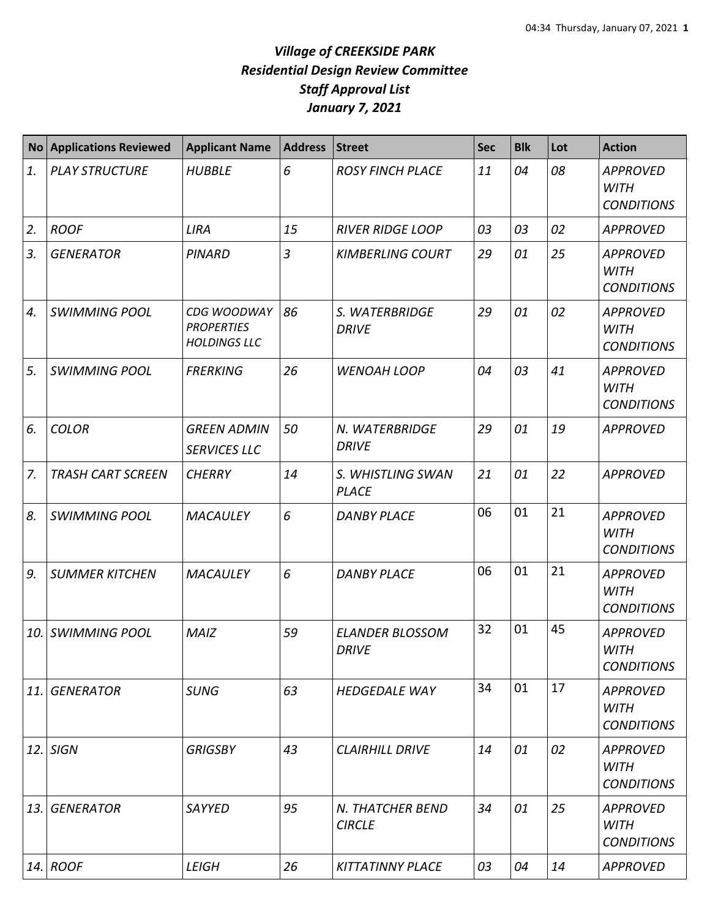## *Village of CREEKSIDE PARK Residential Design Review Committee Staff Approval List January 7, 2021*

| <b>No</b> | <b>Applications Reviewed</b> | <b>Applicant Name</b>                                   | <b>Address</b> | <b>Street</b>                          | <b>Sec</b> | <b>Blk</b> | Lot | <b>Action</b>                                       |
|-----------|------------------------------|---------------------------------------------------------|----------------|----------------------------------------|------------|------------|-----|-----------------------------------------------------|
| 1.        | <b>PLAY STRUCTURE</b>        | <b>HUBBLE</b>                                           | 6              | <b>ROSY FINCH PLACE</b>                | 11         | 04         | 08  | <b>APPROVED</b><br><b>WITH</b><br><b>CONDITIONS</b> |
| 2.        | <b>ROOF</b>                  | <b>LIRA</b>                                             | 15             | <b>RIVER RIDGE LOOP</b>                | 03         | 03         | 02  | <b>APPROVED</b>                                     |
| 3.        | <b>GENERATOR</b>             | <b>PINARD</b>                                           | $\overline{3}$ | <b>KIMBERLING COURT</b>                | 29         | 01         | 25  | <b>APPROVED</b><br><b>WITH</b><br><b>CONDITIONS</b> |
| 4.        | <b>SWIMMING POOL</b>         | CDG WOODWAY<br><b>PROPERTIES</b><br><b>HOLDINGS LLC</b> | 86             | S. WATERBRIDGE<br><b>DRIVE</b>         | 29         | 01         | 02  | <b>APPROVED</b><br><b>WITH</b><br><b>CONDITIONS</b> |
| 5.        | <b>SWIMMING POOL</b>         | <b>FRERKING</b>                                         | 26             | <b>WENOAH LOOP</b>                     | 04         | 03         | 41  | <b>APPROVED</b><br><b>WITH</b><br><b>CONDITIONS</b> |
| 6.        | <b>COLOR</b>                 | <b>GREEN ADMIN</b><br><b>SERVICES LLC</b>               | 50             | N. WATERBRIDGE<br><b>DRIVE</b>         | 29         | 01         | 19  | <b>APPROVED</b>                                     |
| 7.        | <b>TRASH CART SCREEN</b>     | <b>CHERRY</b>                                           | 14             | S. WHISTLING SWAN<br><b>PLACE</b>      | 21         | 01         | 22  | <b>APPROVED</b>                                     |
| 8.        | <b>SWIMMING POOL</b>         | <b>MACAULEY</b>                                         | 6              | <b>DANBY PLACE</b>                     | 06         | 01         | 21  | <b>APPROVED</b><br><b>WITH</b><br><b>CONDITIONS</b> |
| 9.        | <b>SUMMER KITCHEN</b>        | <b>MACAULEY</b>                                         | 6              | <b>DANBY PLACE</b>                     | 06         | 01         | 21  | <b>APPROVED</b><br><b>WITH</b><br><b>CONDITIONS</b> |
| 10.       | <b>SWIMMING POOL</b>         | <b>MAIZ</b>                                             | 59             | <b>ELANDER BLOSSOM</b><br><b>DRIVE</b> | 32         | 01         | 45  | <b>APPROVED</b><br><b>WITH</b><br><b>CONDITIONS</b> |
| 11.       | <b>GENERATOR</b>             | <b>SUNG</b>                                             | 63             | <b>HEDGEDALE WAY</b>                   | 34         | 01         | 17  | <b>APPROVED</b><br><b>WITH</b><br><b>CONDITIONS</b> |
| 12.       | <b>SIGN</b>                  | <b>GRIGSBY</b>                                          | 43             | <b>CLAIRHILL DRIVE</b>                 | 14         | 01         | 02  | <b>APPROVED</b><br><b>WITH</b><br><b>CONDITIONS</b> |
| 13.       | <b>GENERATOR</b>             | <b>SAYYED</b>                                           | 95             | N. THATCHER BEND<br><b>CIRCLE</b>      | 34         | 01         | 25  | <b>APPROVED</b><br><b>WITH</b><br><b>CONDITIONS</b> |
| 14.       | <b>ROOF</b>                  | <b>LEIGH</b>                                            | 26             | <b>KITTATINNY PLACE</b>                | 03         | 04         | 14  | <b>APPROVED</b>                                     |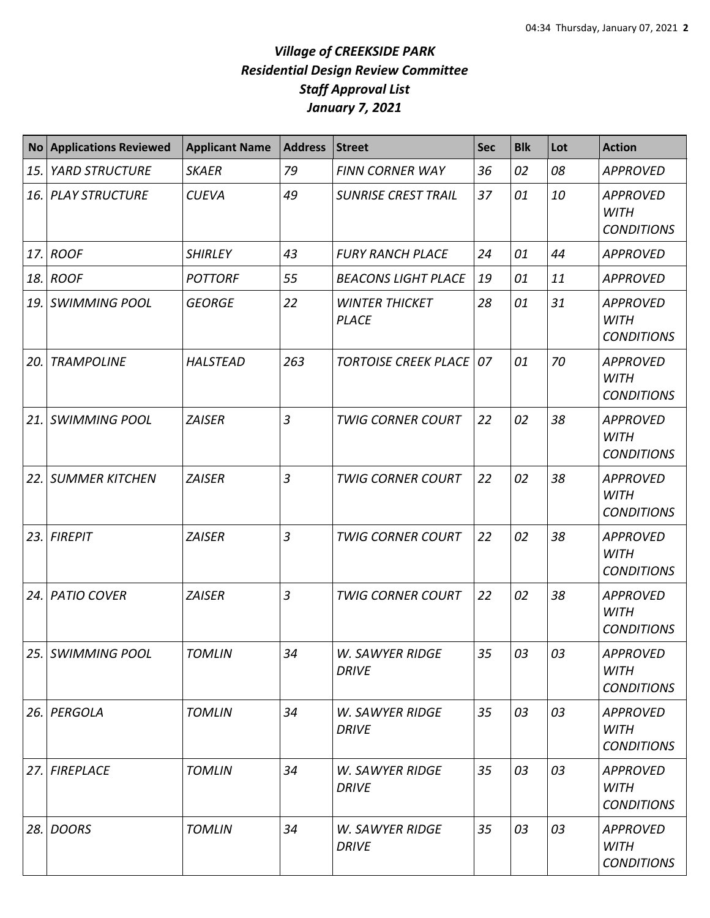## *Village of CREEKSIDE PARK Residential Design Review Committee Staff Approval List January 7, 2021*

|     | <b>No Applications Reviewed</b> | <b>Applicant Name</b> | <b>Address</b> | <b>Street</b>                          | <b>Sec</b> | <b>Blk</b> | Lot | <b>Action</b>                                       |
|-----|---------------------------------|-----------------------|----------------|----------------------------------------|------------|------------|-----|-----------------------------------------------------|
| 15. | <b>YARD STRUCTURE</b>           | <b>SKAER</b>          | 79             | FINN CORNER WAY                        | 36         | 02         | 08  | <b>APPROVED</b>                                     |
| 16. | <b>PLAY STRUCTURE</b>           | <b>CUEVA</b>          | 49             | <b>SUNRISE CREST TRAIL</b>             | 37         | 01         | 10  | <b>APPROVED</b><br><b>WITH</b><br><b>CONDITIONS</b> |
| 17. | <b>ROOF</b>                     | <b>SHIRLEY</b>        | 43             | <b>FURY RANCH PLACE</b>                | 24         | 01         | 44  | <b>APPROVED</b>                                     |
| 18. | <b>ROOF</b>                     | <b>POTTORF</b>        | 55             | <b>BEACONS LIGHT PLACE</b>             | 19         | 01         | 11  | <b>APPROVED</b>                                     |
| 19. | <b>SWIMMING POOL</b>            | <b>GEORGE</b>         | 22             | <b>WINTER THICKET</b><br><b>PLACE</b>  | 28         | 01         | 31  | <b>APPROVED</b><br><b>WITH</b><br><b>CONDITIONS</b> |
| 20. | <b>TRAMPOLINE</b>               | <b>HALSTEAD</b>       | 263            | <b>TORTOISE CREEK PLACE</b>            | 07         | 01         | 70  | <b>APPROVED</b><br><b>WITH</b><br><b>CONDITIONS</b> |
| 21. | <b>SWIMMING POOL</b>            | <b>ZAISER</b>         | 3              | <b>TWIG CORNER COURT</b>               | 22         | 02         | 38  | <b>APPROVED</b><br><b>WITH</b><br><b>CONDITIONS</b> |
| 22. | <b>SUMMER KITCHEN</b>           | <b>ZAISER</b>         | 3              | <b>TWIG CORNER COURT</b>               | 22         | 02         | 38  | <b>APPROVED</b><br><b>WITH</b><br><b>CONDITIONS</b> |
| 23. | <b>FIREPIT</b>                  | <b>ZAISER</b>         | $\overline{3}$ | <b>TWIG CORNER COURT</b>               | 22         | 02         | 38  | <b>APPROVED</b><br><b>WITH</b><br><b>CONDITIONS</b> |
| 24. | <b>PATIO COVER</b>              | <b>ZAISER</b>         | 3              | <b>TWIG CORNER COURT</b>               | 22         | 02         | 38  | <b>APPROVED</b><br><b>WITH</b><br><b>CONDITIONS</b> |
|     | 25. SWIMMING POOL               | <b>TOMLIN</b>         | 34             | W. SAWYER RIDGE<br><b>DRIVE</b>        | 35         | 03         | 03  | <b>APPROVED</b><br><b>WITH</b><br><b>CONDITIONS</b> |
| 26. | PERGOLA                         | <b>TOMLIN</b>         | 34             | <b>W. SAWYER RIDGE</b><br><b>DRIVE</b> | 35         | 03         | 03  | <b>APPROVED</b><br><b>WITH</b><br><b>CONDITIONS</b> |
| 27. | FIREPLACE                       | <b>TOMLIN</b>         | 34             | <b>W. SAWYER RIDGE</b><br><b>DRIVE</b> | 35         | 03         | 03  | <b>APPROVED</b><br><b>WITH</b><br><b>CONDITIONS</b> |
| 28. | <b>DOORS</b>                    | <b>TOMLIN</b>         | 34             | W. SAWYER RIDGE<br><b>DRIVE</b>        | 35         | 03         | 03  | <b>APPROVED</b><br><b>WITH</b><br><b>CONDITIONS</b> |